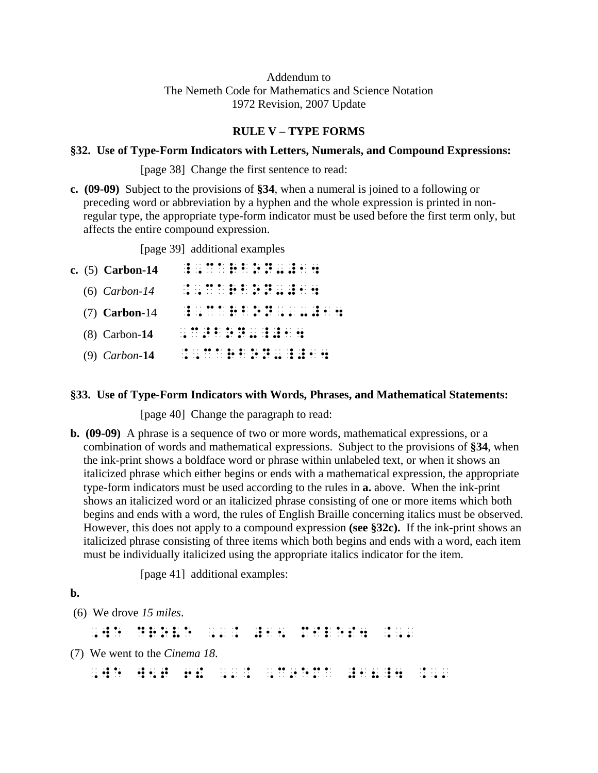# Addendum to The Nemeth Code for Mathematics and Science Notation 1972 Revision, 2007 Update

## **RULE V – TYPE FORMS**

## **§32. Use of Type-Form Indicators with Letters, Numerals, and Compound Expressions:**

[page 38] Change the first sentence to read:

**c. (09-09)** Subject to the provisions of **§34**, when a numeral is joined to a following or preceding word or abbreviation by a hyphen and the whole expression is printed in nonregular type, the appropriate type-form indicator must be used before the first term only, but affects the entire compound expression.

[page 39] additional examples

| c. $(5)$ Carbon-14 |                 |  |  |  |  |  | 10 16 11 11 07 07 10 10 10 10 11 08    |                                   |  |
|--------------------|-----------------|--|--|--|--|--|----------------------------------------|-----------------------------------|--|
| $(6)$ Carbon-14    |                 |  |  |  |  |  |                                        |                                   |  |
| $(7)$ Carbon-14    |                 |  |  |  |  |  |                                        | .ā  11 1. āp ā. 16 lā    .ā a. ad |  |
| $(8)$ Carbon-14    | ., 22 . <b></b> |  |  |  |  |  |                                        |                                   |  |
| $(9)$ Carbon-14    |                 |  |  |  |  |  | al an lloan de droid an Adora droid de |                                   |  |

## **§33. Use of Type-Form Indicators with Words, Phrases, and Mathematical Statements:**

[page 40] Change the paragraph to read:

**b. (09-09)** A phrase is a sequence of two or more words, mathematical expressions, or a combination of words and mathematical expressions. Subject to the provisions of **§34**, when the ink-print shows a boldface word or phrase within unlabeled text, or when it shows an italicized phrase which either begins or ends with a mathematical expression, the appropriate type-form indicators must be used according to the rules in **a.** above. When the ink-print shows an italicized word or an italicized phrase consisting of one or more items which both begins and ends with a word, the rules of English Braille concerning italics must be observed. However, this does not apply to a compound expression **(see §32c).** If the ink-print shows an italicized phrase consisting of three items which both begins and ends with a word, each item must be individually italicized using the appropriate italics indicator for the item.

[page 41] additional examples:

# **b.**

(6) We drove *15 miles*.

, we drove  $\frac{1}{2}$  . The drove  $\frac{1}{2}$  is the drove of the drove  $\frac{1}{2}$  ,  $\frac{1}{2}$  ,  $\frac{1}{2}$  ,  $\frac{1}{2}$  ,  $\frac{1}{2}$  ,  $\frac{1}{2}$  ,  $\frac{1}{2}$  ,  $\frac{1}{2}$  ,  $\frac{1}{2}$  ,  $\frac{1}{2}$  ,  $\frac{1}{2}$  ,  $\frac{1}{2}$  ,  $\frac{1}{2}$ 

(7) We went to the *Cinema 18*.

, we was a set of the set of the set of the set of the set of the set of the set of the set of the set of the<br>The set of the set of the set of the set of the set of the set of the set of the set of the set of the set of